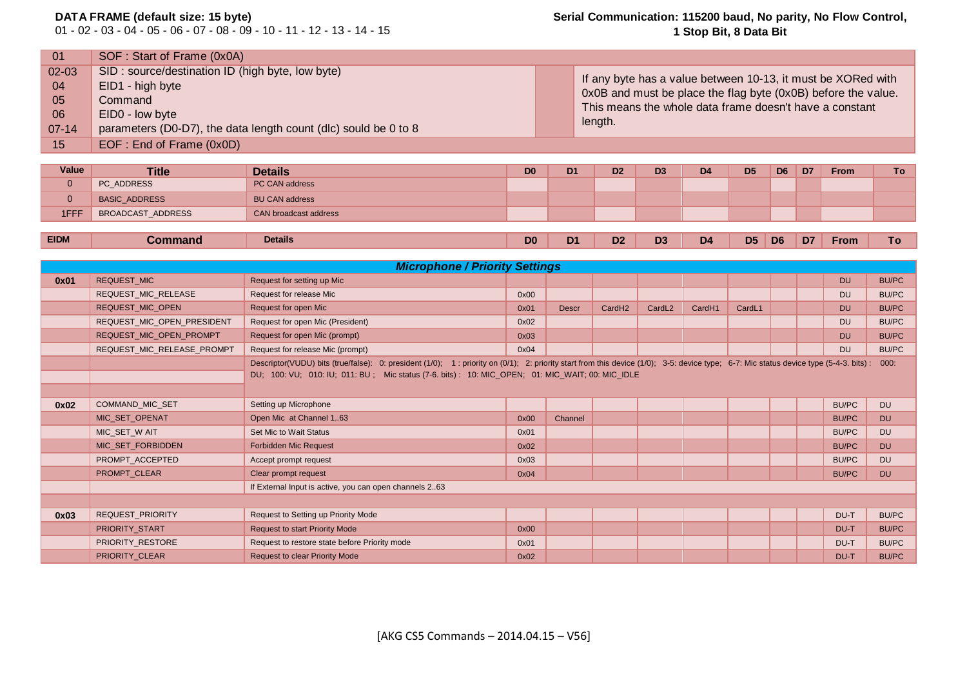## **DATA FRAME (default size: 15 byte)**

01 - 02 - 03 - 04 - 05 - 06 - 07 - 08 - 09 - 10 - 11 - 12 - 13 - 14 - 15

## **Serial Communication: 115200 baud, No parity, No Flow Control, 1 Stop Bit, 8 Data Bit**

| 01        | SOF: Start of Frame (0x0A)                                      |                                                               |
|-----------|-----------------------------------------------------------------|---------------------------------------------------------------|
| $02 - 03$ | SID: source/destination ID (high byte, low byte)                | If any byte has a value between 10-13, it must be XORed with  |
| 04        | EID1 - high byte                                                | 0x0B and must be place the flag byte (0x0B) before the value. |
| 05        | Command                                                         | This means the whole data frame doesn't have a constant       |
| 06        | EID0 - low byte                                                 |                                                               |
| $07 - 14$ | parameters (D0-D7), the data length count (dlc) sould be 0 to 8 | length.                                                       |
| 15        | EOF: End of Frame (0x0D)                                        |                                                               |
|           |                                                                 |                                                               |

| Value       | <b>Title</b>         | <b>Details</b>        | D0             | D <sub>1</sub> | D <sub>2</sub> | D <sub>3</sub> | D <sub>4</sub> | D <sub>5</sub> | D <sub>6</sub> | D <sub>7</sub> | <b>From</b> | To |
|-------------|----------------------|-----------------------|----------------|----------------|----------------|----------------|----------------|----------------|----------------|----------------|-------------|----|
| $\mathbf 0$ | PC ADDRESS           | PC CAN address        |                |                |                |                |                |                |                |                |             |    |
| $\mathbf 0$ | <b>BASIC_ADDRESS</b> | <b>BU CAN address</b> |                |                |                |                |                |                |                |                |             |    |
| 1FFF        | BROADCAST_ADDRESS    | CAN broadcast address |                |                |                |                |                |                |                |                |             |    |
|             |                      |                       |                |                |                |                |                |                |                |                |             |    |
| <b>EIDM</b> | <b>Command</b>       | <b>Details</b>        | D <sub>0</sub> | D <sub>1</sub> | D <sub>2</sub> | D <sub>3</sub> | D <sub>4</sub> | D <sub>5</sub> | D <sub>6</sub> | D7             | From        | To |

| <b>EIDM</b> | <b>Command</b> | <b>Details</b> | D <sub>0</sub> | D <sub>1</sub> | D <sub>2</sub> | D <sub>3</sub> | D4 | D <sub>5</sub> | D <sub>6</sub> | D <sub>7</sub> | From | Гο |  |
|-------------|----------------|----------------|----------------|----------------|----------------|----------------|----|----------------|----------------|----------------|------|----|--|
|-------------|----------------|----------------|----------------|----------------|----------------|----------------|----|----------------|----------------|----------------|------|----|--|

|      | <b>Microphone / Priority Settings</b> |                                                                                                                                                                                      |      |              |                    |                    |                    |        |  |  |              |              |  |
|------|---------------------------------------|--------------------------------------------------------------------------------------------------------------------------------------------------------------------------------------|------|--------------|--------------------|--------------------|--------------------|--------|--|--|--------------|--------------|--|
| 0x01 | <b>REQUEST MIC</b>                    | Request for setting up Mic                                                                                                                                                           |      |              |                    |                    |                    |        |  |  | <b>DU</b>    | <b>BU/PC</b> |  |
|      | REQUEST_MIC_RELEASE                   | Request for release Mic                                                                                                                                                              | 0x00 |              |                    |                    |                    |        |  |  | <b>DU</b>    | <b>BU/PC</b> |  |
|      | REQUEST_MIC_OPEN                      | Request for open Mic                                                                                                                                                                 | 0x01 | <b>Descr</b> | CardH <sub>2</sub> | CardL <sub>2</sub> | Card <sub>H1</sub> | CardL1 |  |  | <b>DU</b>    | <b>BU/PC</b> |  |
|      | REQUEST_MIC_OPEN_PRESIDENT            | Request for open Mic (President)                                                                                                                                                     | 0x02 |              |                    |                    |                    |        |  |  | <b>DU</b>    | BU/PC        |  |
|      | REQUEST_MIC_OPEN_PROMPT               | Request for open Mic (prompt)                                                                                                                                                        | 0x03 |              |                    |                    |                    |        |  |  | <b>DU</b>    | <b>BU/PC</b> |  |
|      | REQUEST_MIC_RELEASE_PROMPT            | Request for release Mic (prompt)                                                                                                                                                     | 0x04 |              |                    |                    |                    |        |  |  | <b>DU</b>    | <b>BU/PC</b> |  |
|      |                                       | Descriptor(VUDU) bits (true/false): 0: president (1/0); 1: priority on (0/1); 2: priority start from this device (1/0); 3-5: device type; 6-7: Mic status device type (5-4-3. bits): |      |              |                    |                    |                    |        |  |  |              | 000:         |  |
|      |                                       | DU; 100: VU; 010: IU; 011: BU; Mic status (7-6. bits): 10: MIC_OPEN; 01: MIC_WAIT; 00: MIC_IDLE                                                                                      |      |              |                    |                    |                    |        |  |  |              |              |  |
|      |                                       |                                                                                                                                                                                      |      |              |                    |                    |                    |        |  |  |              |              |  |
| 0x02 | <b>COMMAND MIC SET</b>                | Setting up Microphone                                                                                                                                                                |      |              |                    |                    |                    |        |  |  | BU/PC        | <b>DU</b>    |  |
|      | MIC_SET_OPENAT                        | Open Mic at Channel 163                                                                                                                                                              | 0x00 | Channel      |                    |                    |                    |        |  |  | <b>BU/PC</b> | <b>DU</b>    |  |
|      | MIC_SET_W AIT                         | Set Mic to Wait Status                                                                                                                                                               | 0x01 |              |                    |                    |                    |        |  |  | <b>BU/PC</b> | <b>DU</b>    |  |
|      | MIC_SET_FORBIDDEN                     | <b>Forbidden Mic Request</b>                                                                                                                                                         | 0x02 |              |                    |                    |                    |        |  |  | <b>BU/PC</b> | <b>DU</b>    |  |
|      | PROMPT ACCEPTED                       | Accept prompt request                                                                                                                                                                | 0x03 |              |                    |                    |                    |        |  |  | <b>BU/PC</b> | <b>DU</b>    |  |
|      | PROMPT CLEAR                          | Clear prompt request                                                                                                                                                                 | 0x04 |              |                    |                    |                    |        |  |  | <b>BU/PC</b> | <b>DU</b>    |  |
|      |                                       | If External Input is active, you can open channels 263                                                                                                                               |      |              |                    |                    |                    |        |  |  |              |              |  |
|      |                                       |                                                                                                                                                                                      |      |              |                    |                    |                    |        |  |  |              |              |  |
| 0x03 | REQUEST_PRIORITY                      | Request to Setting up Priority Mode                                                                                                                                                  |      |              |                    |                    |                    |        |  |  | DU-T         | BU/PC        |  |
|      | PRIORITY START                        | <b>Request to start Priority Mode</b>                                                                                                                                                | 0x00 |              |                    |                    |                    |        |  |  | DU-T         | <b>BU/PC</b> |  |
|      | PRIORITY RESTORE                      | Request to restore state before Priority mode                                                                                                                                        | 0x01 |              |                    |                    |                    |        |  |  | DU-T         | BU/PC        |  |
|      | PRIORITY_CLEAR                        | <b>Request to clear Priority Mode</b>                                                                                                                                                | 0x02 |              |                    |                    |                    |        |  |  | DU-T         | <b>BU/PC</b> |  |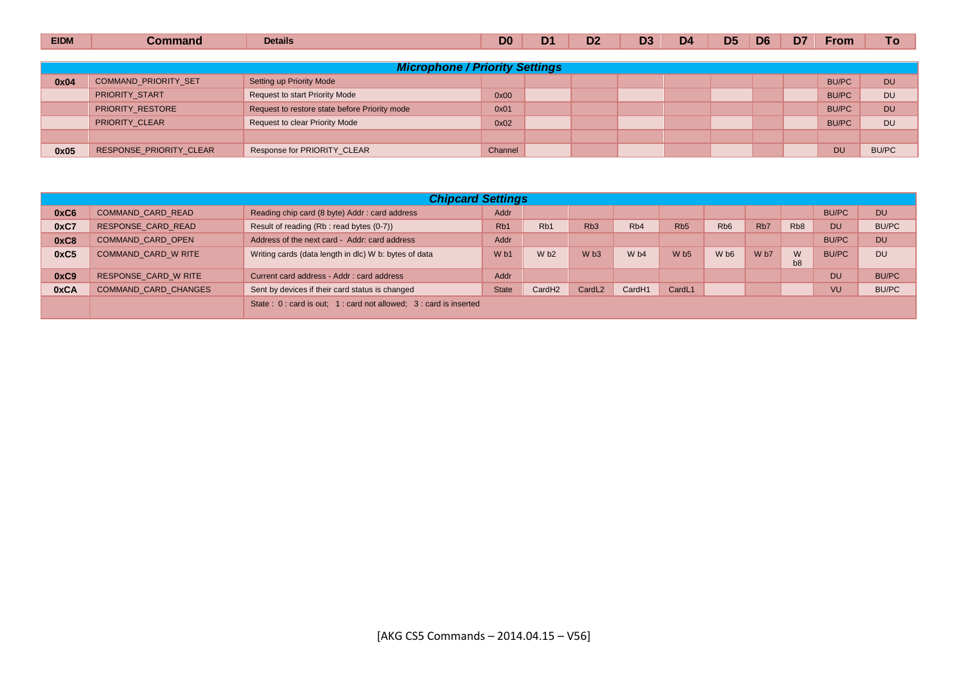| <b>EIDM</b> | Command                 | <b>Details</b>                                | D <sub>0</sub> | D <sub>1</sub> | D <sub>2</sub> | D <sub>3</sub> | D <sub>4</sub> | D <sub>5</sub> | D <sub>6</sub> | D <sub>7</sub> | <b>From</b>  | To           |
|-------------|-------------------------|-----------------------------------------------|----------------|----------------|----------------|----------------|----------------|----------------|----------------|----------------|--------------|--------------|
|             |                         |                                               |                |                |                |                |                |                |                |                |              |              |
|             |                         | <b>Microphone / Priority Settings</b>         |                |                |                |                |                |                |                |                |              |              |
| 0x04        | COMMAND_PRIORITY_SET    | Setting up Priority Mode                      |                |                |                |                |                |                |                |                | <b>BU/PC</b> | <b>DU</b>    |
|             | <b>PRIORITY START</b>   | <b>Request to start Priority Mode</b>         | 0x00           |                |                |                |                |                |                |                | <b>BU/PC</b> | <b>DU</b>    |
|             | PRIORITY_RESTORE        | Request to restore state before Priority mode | 0x01           |                |                |                |                |                |                |                | <b>BU/PC</b> | <b>DU</b>    |
|             | PRIORITY CLEAR          | <b>Request to clear Priority Mode</b>         | 0x02           |                |                |                |                |                |                |                | <b>BU/PC</b> | <b>DU</b>    |
|             |                         |                                               |                |                |                |                |                |                |                |                |              |              |
| 0x05        | RESPONSE PRIORITY CLEAR | Response for PRIORITY CLEAR                   | Channel        |                |                |                |                |                |                |                | <b>DU</b>    | <b>BU/PC</b> |

|      | <b>Chipcard Settings</b>    |                                                                 |                  |                    |                    |                    |                 |                             |                  |                     |              |              |  |
|------|-----------------------------|-----------------------------------------------------------------|------------------|--------------------|--------------------|--------------------|-----------------|-----------------------------|------------------|---------------------|--------------|--------------|--|
| 0xC6 | <b>COMMAND CARD READ</b>    | Reading chip card (8 byte) Addr: card address                   | Addr             |                    |                    |                    |                 |                             |                  |                     | <b>BU/PC</b> | <b>DU</b>    |  |
| 0xC7 | RESPONSE CARD READ          | Result of reading (Rb : read bytes (0-7))                       | R <sub>b</sub> 1 | R <sub>b</sub> 1   | R <sub>b</sub> 3   | R <sub>b</sub> 4   | Rb <sub>5</sub> | R <sub>b</sub> <sub>6</sub> | R <sub>b</sub> 7 | R <sub>b</sub> 8    | <b>DU</b>    | <b>BU/PC</b> |  |
| 0xC8 | COMMAND CARD OPEN           | Address of the next card - Addr: card address                   | Addr             |                    |                    |                    |                 |                             |                  |                     | <b>BU/PC</b> | <b>DU</b>    |  |
| 0xC5 | COMMAND CARD W RITE         | Writing cards (data length in dlc) W b: bytes of data           | W <sub>b1</sub>  | W <sub>b2</sub>    | W <sub>b3</sub>    | W <sub>b4</sub>    | W <sub>b5</sub> | W <sub>b6</sub>             | W <sub>b7</sub>  | W<br>b <sub>8</sub> | <b>BU/PC</b> | <b>DU</b>    |  |
| 0xC9 | RESPONSE CARD W RITE        | Current card address - Addr: card address                       | Addr             |                    |                    |                    |                 |                             |                  |                     | <b>DU</b>    | <b>BU/PC</b> |  |
| 0xCA | <b>COMMAND CARD CHANGES</b> | Sent by devices if their card status is changed                 | <b>State</b>     | CardH <sub>2</sub> | CardL <sub>2</sub> | Card <sub>H1</sub> | CardL1          |                             |                  |                     | VU           | <b>BU/PC</b> |  |
|      |                             | State: 0: card is out; 1: card not allowed; 3: card is inserted |                  |                    |                    |                    |                 |                             |                  |                     |              |              |  |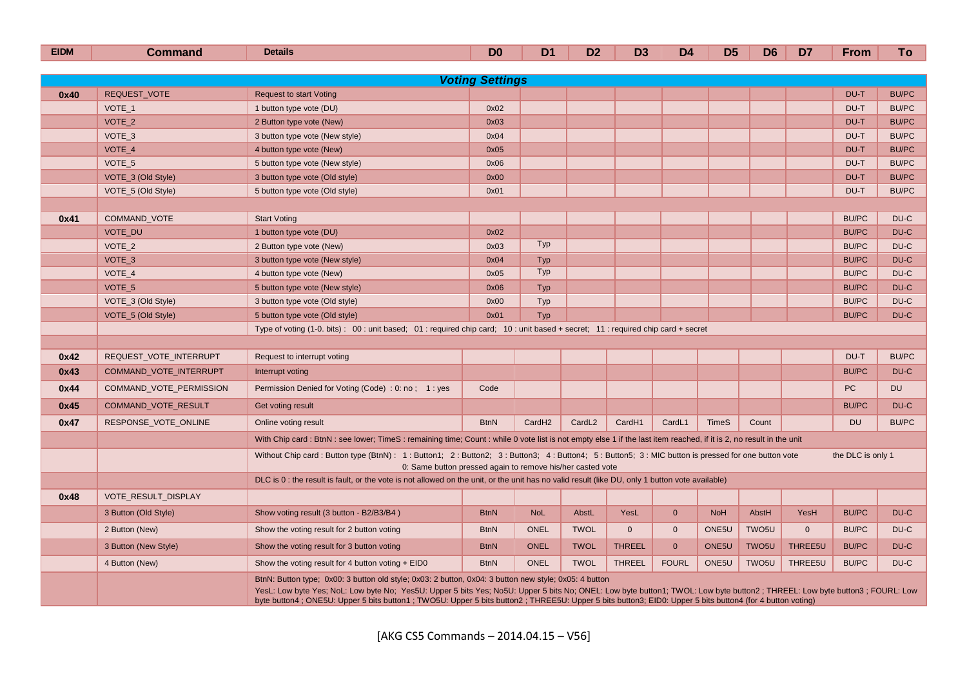| <b>EIDM</b> | <b>Command</b>             | <b>Details</b>                                                                                                                                                                                                                                                                                                                                                                                                                                   | D <sub>0</sub>         | D <sub>1</sub>     | D <sub>2</sub>     | D <sub>3</sub> | D <sub>4</sub> | D <sub>5</sub>    | D <sub>6</sub>    | D <sub>7</sub> | <b>From</b>       | To           |
|-------------|----------------------------|--------------------------------------------------------------------------------------------------------------------------------------------------------------------------------------------------------------------------------------------------------------------------------------------------------------------------------------------------------------------------------------------------------------------------------------------------|------------------------|--------------------|--------------------|----------------|----------------|-------------------|-------------------|----------------|-------------------|--------------|
|             |                            |                                                                                                                                                                                                                                                                                                                                                                                                                                                  |                        |                    |                    |                |                |                   |                   |                |                   |              |
|             |                            |                                                                                                                                                                                                                                                                                                                                                                                                                                                  | <b>Voting Settings</b> |                    |                    |                |                |                   |                   |                |                   |              |
| 0x40        | <b>REQUEST VOTE</b>        | <b>Request to start Voting</b>                                                                                                                                                                                                                                                                                                                                                                                                                   |                        |                    |                    |                |                |                   |                   |                | DU-T              | <b>BU/PC</b> |
|             | VOTE 1                     | 1 button type vote (DU)                                                                                                                                                                                                                                                                                                                                                                                                                          | 0x02                   |                    |                    |                |                |                   |                   |                | DU-T              | <b>BU/PC</b> |
|             | VOTE_2                     | 2 Button type vote (New)                                                                                                                                                                                                                                                                                                                                                                                                                         | 0x03                   |                    |                    |                |                |                   |                   |                | DU-T              | <b>BU/PC</b> |
|             | VOTE_3                     | 3 button type vote (New style)                                                                                                                                                                                                                                                                                                                                                                                                                   | 0x04                   |                    |                    |                |                |                   |                   |                | DU-T              | <b>BU/PC</b> |
|             | VOTE 4                     | 4 button type vote (New)                                                                                                                                                                                                                                                                                                                                                                                                                         | 0x05                   |                    |                    |                |                |                   |                   |                | DU-T              | <b>BU/PC</b> |
|             | VOTE 5                     | 5 button type vote (New style)                                                                                                                                                                                                                                                                                                                                                                                                                   | 0x06                   |                    |                    |                |                |                   |                   |                | DU-T              | <b>BU/PC</b> |
|             | VOTE_3 (Old Style)         | 3 button type vote (Old style)                                                                                                                                                                                                                                                                                                                                                                                                                   | 0x00                   |                    |                    |                |                |                   |                   |                | DU-T              | <b>BU/PC</b> |
|             | VOTE_5 (Old Style)         | 5 button type vote (Old style)                                                                                                                                                                                                                                                                                                                                                                                                                   | 0x01                   |                    |                    |                |                |                   |                   |                | DU-T              | <b>BU/PC</b> |
| 0x41        | <b>COMMAND VOTE</b>        | <b>Start Voting</b>                                                                                                                                                                                                                                                                                                                                                                                                                              |                        |                    |                    |                |                |                   |                   |                | <b>BU/PC</b>      | DU-C         |
|             | VOTE_DU                    | 1 button type vote (DU)                                                                                                                                                                                                                                                                                                                                                                                                                          | 0x02                   |                    |                    |                |                |                   |                   |                | <b>BU/PC</b>      | DU-C         |
|             | VOTE_2                     | 2 Button type vote (New)                                                                                                                                                                                                                                                                                                                                                                                                                         | 0x03                   | Typ                |                    |                |                |                   |                   |                | <b>BU/PC</b>      | DU-C         |
|             | VOTE <sub>3</sub>          | 3 button type vote (New style)                                                                                                                                                                                                                                                                                                                                                                                                                   | 0x04                   | Typ                |                    |                |                |                   |                   |                | <b>BU/PC</b>      | DU-C         |
|             | VOTE 4                     | 4 button type vote (New)                                                                                                                                                                                                                                                                                                                                                                                                                         | 0x05                   | Typ                |                    |                |                |                   |                   |                | <b>BU/PC</b>      | DU-C         |
|             | VOTE_5                     | 5 button type vote (New style)                                                                                                                                                                                                                                                                                                                                                                                                                   | 0x06                   | Typ                |                    |                |                |                   |                   |                | <b>BU/PC</b>      | DU-C         |
|             | VOTE_3 (Old Style)         | 3 button type vote (Old style)                                                                                                                                                                                                                                                                                                                                                                                                                   | 0x00                   | Typ                |                    |                |                |                   |                   |                | <b>BU/PC</b>      | DU-C         |
|             | VOTE_5 (Old Style)         | 5 button type vote (Old style)                                                                                                                                                                                                                                                                                                                                                                                                                   | 0x01                   | Typ                |                    |                |                |                   |                   |                | <b>BU/PC</b>      | DU-C         |
|             |                            | Type of voting (1-0. bits): 00: unit based; 01: required chip card; 10: unit based + secret; 11: required chip card + secret                                                                                                                                                                                                                                                                                                                     |                        |                    |                    |                |                |                   |                   |                |                   |              |
|             |                            |                                                                                                                                                                                                                                                                                                                                                                                                                                                  |                        |                    |                    |                |                |                   |                   |                |                   |              |
| 0x42        | REQUEST_VOTE_INTERRUPT     | Request to interrupt voting                                                                                                                                                                                                                                                                                                                                                                                                                      |                        |                    |                    |                |                |                   |                   |                | DU-T              | <b>BU/PC</b> |
| 0x43        | COMMAND_VOTE_INTERRUPT     | Interrupt voting                                                                                                                                                                                                                                                                                                                                                                                                                                 |                        |                    |                    |                |                |                   |                   |                | <b>BU/PC</b>      | DU-C         |
| 0x44        | COMMAND_VOTE_PERMISSION    | Permission Denied for Voting (Code) : 0: no; 1: yes                                                                                                                                                                                                                                                                                                                                                                                              | Code                   |                    |                    |                |                |                   |                   |                | <b>PC</b>         | <b>DU</b>    |
| 0x45        | COMMAND_VOTE_RESULT        | Get voting result                                                                                                                                                                                                                                                                                                                                                                                                                                |                        |                    |                    |                |                |                   |                   |                | <b>BU/PC</b>      | DU-C         |
| 0x47        | RESPONSE_VOTE_ONLINE       | Online voting result                                                                                                                                                                                                                                                                                                                                                                                                                             | <b>BtnN</b>            | CardH <sub>2</sub> | CardL <sub>2</sub> | CardH1         | CardL1         | <b>TimeS</b>      | Count             |                | <b>DU</b>         | <b>BU/PC</b> |
|             |                            | With Chip card: BtnN: see lower; TimeS: remaining time; Count: while 0 vote list is not empty else 1 if the last item reached, if it is 2, no result in the unit                                                                                                                                                                                                                                                                                 |                        |                    |                    |                |                |                   |                   |                |                   |              |
|             |                            | Without Chip card: Button type (BtnN): 1: Button1; 2: Button2; 3: Button3; 4: Button4; 5: Button5; 3: MIC button is pressed for one button vote<br>0: Same button pressed again to remove his/her casted vote                                                                                                                                                                                                                                    |                        |                    |                    |                |                |                   |                   |                | the DLC is only 1 |              |
|             |                            | DLC is 0: the result is fault, or the vote is not allowed on the unit, or the unit has no valid result (like DU, only 1 button vote available)                                                                                                                                                                                                                                                                                                   |                        |                    |                    |                |                |                   |                   |                |                   |              |
| 0x48        | <b>VOTE RESULT DISPLAY</b> |                                                                                                                                                                                                                                                                                                                                                                                                                                                  |                        |                    |                    |                |                |                   |                   |                |                   |              |
|             | 3 Button (Old Style)       | Show voting result (3 button - B2/B3/B4)                                                                                                                                                                                                                                                                                                                                                                                                         | <b>BtnN</b>            | <b>NoL</b>         | AbstL              | YesL           | $\mathbf{0}$   | <b>NoH</b>        | AbstH             | YesH           | <b>BU/PC</b>      | DU-C         |
|             | 2 Button (New)             | Show the voting result for 2 button voting                                                                                                                                                                                                                                                                                                                                                                                                       | <b>BtnN</b>            | <b>ONEL</b>        | <b>TWOL</b>        | $\Omega$       | $\mathbf{0}$   | ONE <sub>5U</sub> | TWO <sub>5U</sub> | $\mathbf{0}$   | <b>BU/PC</b>      | DU-C         |
|             | 3 Button (New Style)       | Show the voting result for 3 button voting                                                                                                                                                                                                                                                                                                                                                                                                       | <b>BtnN</b>            | <b>ONEL</b>        | <b>TWOL</b>        | <b>THREEL</b>  | $\mathbf{0}$   | ONE5U             | TWO <sub>5U</sub> | THREE5U        | <b>BU/PC</b>      | DU-C         |
|             | 4 Button (New)             | Show the voting result for 4 button voting $+ EIDO$                                                                                                                                                                                                                                                                                                                                                                                              | <b>BtnN</b>            | <b>ONEL</b>        | <b>TWOL</b>        | <b>THREEL</b>  | <b>FOURL</b>   | ONE5U             | TWO5U             | THREE5U        | <b>BU/PC</b>      | DU-C         |
|             |                            | BtnN: Button type; 0x00: 3 button old style; 0x03: 2 button, 0x04: 3 button new style; 0x05: 4 button<br>YesL: Low byte Yes; NoL: Low byte No; Yes5U: Upper 5 bits Yes; No5U: Upper 5 bits No; ONEL: Low byte button1; TWOL: Low byte button2 ; THREEL: Low byte button3 ; FOURL: Low<br>byte button4; ONE5U: Upper 5 bits button1; TWO5U: Upper 5 bits button2; THREE5U: Upper 5 bits button3; EID0: Upper 5 bits button4 (for 4 button voting) |                        |                    |                    |                |                |                   |                   |                |                   |              |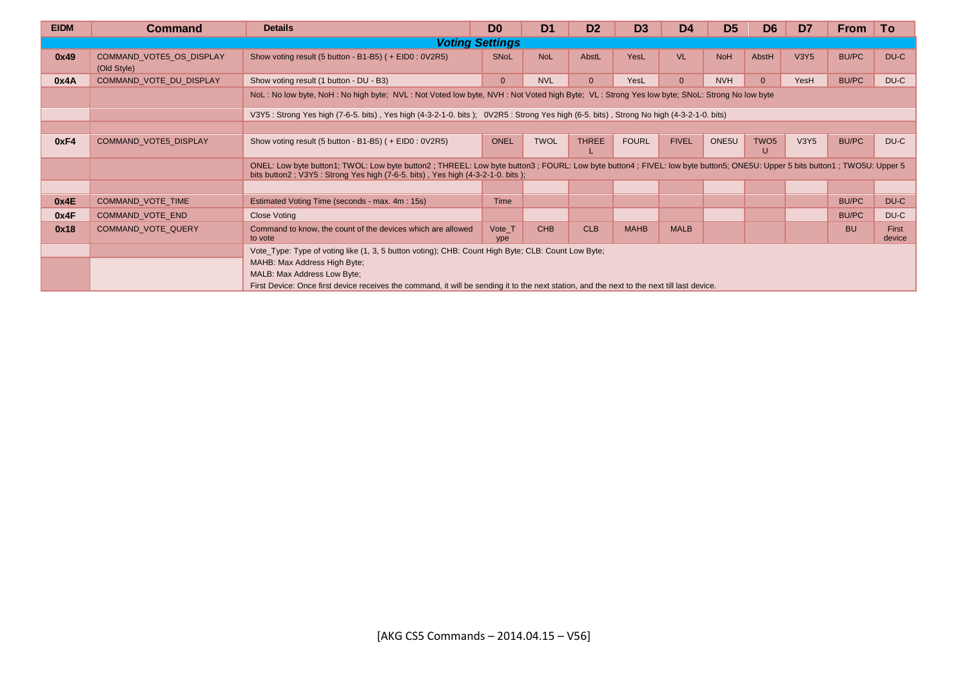| <b>EIDM</b> | <b>Command</b>                          | <b>Details</b>                                                                                                                                                                                                                                                                                                   | D <sub>0</sub>                                                                                                                                 | D <sub>1</sub> | D <sub>2</sub> | D <sub>3</sub> | D <sub>4</sub> | D <sub>5</sub> | D <sub>6</sub> | D7   | <b>From</b>  | To              |  |  |
|-------------|-----------------------------------------|------------------------------------------------------------------------------------------------------------------------------------------------------------------------------------------------------------------------------------------------------------------------------------------------------------------|------------------------------------------------------------------------------------------------------------------------------------------------|----------------|----------------|----------------|----------------|----------------|----------------|------|--------------|-----------------|--|--|
|             |                                         |                                                                                                                                                                                                                                                                                                                  | <b>Voting Settings</b>                                                                                                                         |                |                |                |                |                |                |      |              |                 |  |  |
| 0x49        | COMMAND VOTE5 OS DISPLAY<br>(Old Style) | Show voting result (5 button - B1-B5) ( + EID0 : 0V2R5)                                                                                                                                                                                                                                                          | <b>SNoL</b>                                                                                                                                    | <b>NoL</b>     | AbstL          | YesL           | <b>VL</b>      | <b>NoH</b>     | AbstH          | V3Y5 | <b>BU/PC</b> | DU-C            |  |  |
| 0x4A        | COMMAND VOTE DU DISPLAY                 | Show voting result (1 button - DU - B3)                                                                                                                                                                                                                                                                          | $\mathbf{0}$                                                                                                                                   | <b>NVL</b>     |                | YesL           | $\Omega$       | <b>NVH</b>     | $\Omega$       | YesH | <b>BU/PC</b> | DU-C            |  |  |
|             |                                         | NoL: No low byte, NoH: No high byte; NVL: Not Voted low byte, NVH: Not Voted high Byte; VL: Strong Yes low byte; SNoL: Strong No low byte                                                                                                                                                                        |                                                                                                                                                |                |                |                |                |                |                |      |              |                 |  |  |
|             |                                         | V3Y5: Strong Yes high (7-6-5. bits), Yes high (4-3-2-1-0. bits); OV2R5: Strong Yes high (6-5. bits), Strong No high (4-3-2-1-0. bits)                                                                                                                                                                            |                                                                                                                                                |                |                |                |                |                |                |      |              |                 |  |  |
|             |                                         |                                                                                                                                                                                                                                                                                                                  | <b>THREE</b><br>ONE5U<br>TWO <sub>5</sub><br><b>ONEL</b><br><b>TWOL</b><br><b>FOURL</b><br><b>FIVEL</b><br><b>V3Y5</b><br><b>BU/PC</b><br>DU-C |                |                |                |                |                |                |      |              |                 |  |  |
| 0xF4        | <b>COMMAND VOTE5 DISPLAY</b>            | Show voting result (5 button - B1-B5) ( + EID0 : 0V2R5)                                                                                                                                                                                                                                                          |                                                                                                                                                |                |                |                |                |                | U              |      |              |                 |  |  |
|             |                                         | ONEL: Low byte button1; TWOL: Low byte button2; THREEL: Low byte button3; FOURL: Low byte button4; FIVEL: low byte button5; ONE5U: Upper 5 bits button1; TWO5U: Upper 5<br>bits button2; V3Y5: Strong Yes high (7-6-5. bits), Yes high (4-3-2-1-0. bits);                                                        |                                                                                                                                                |                |                |                |                |                |                |      |              |                 |  |  |
|             |                                         |                                                                                                                                                                                                                                                                                                                  |                                                                                                                                                |                |                |                |                |                |                |      |              |                 |  |  |
| 0x4E        | COMMAND_VOTE_TIME                       | Estimated Voting Time (seconds - max. 4m : 15s)                                                                                                                                                                                                                                                                  | Time                                                                                                                                           |                |                |                |                |                |                |      | <b>BU/PC</b> | DU-C            |  |  |
| 0x4F        | COMMAND_VOTE_END                        | <b>Close Voting</b>                                                                                                                                                                                                                                                                                              |                                                                                                                                                |                |                |                |                |                |                |      | <b>BU/PC</b> | DU-C            |  |  |
| 0x18        | COMMAND VOTE QUERY                      | Command to know, the count of the devices which are allowed<br>to vote                                                                                                                                                                                                                                           | Vote_T<br>ype                                                                                                                                  | <b>CHB</b>     | <b>CLB</b>     | <b>MAHB</b>    | <b>MALB</b>    |                |                |      | <b>BU</b>    | First<br>device |  |  |
|             |                                         | Vote_Type: Type of voting like (1, 3, 5 button voting); CHB: Count High Byte; CLB: Count Low Byte;<br>MAHB: Max Address High Byte;<br>MALB: Max Address Low Byte;<br>First Device: Once first device receives the command, it will be sending it to the next station, and the next to the next till last device. |                                                                                                                                                |                |                |                |                |                |                |      |              |                 |  |  |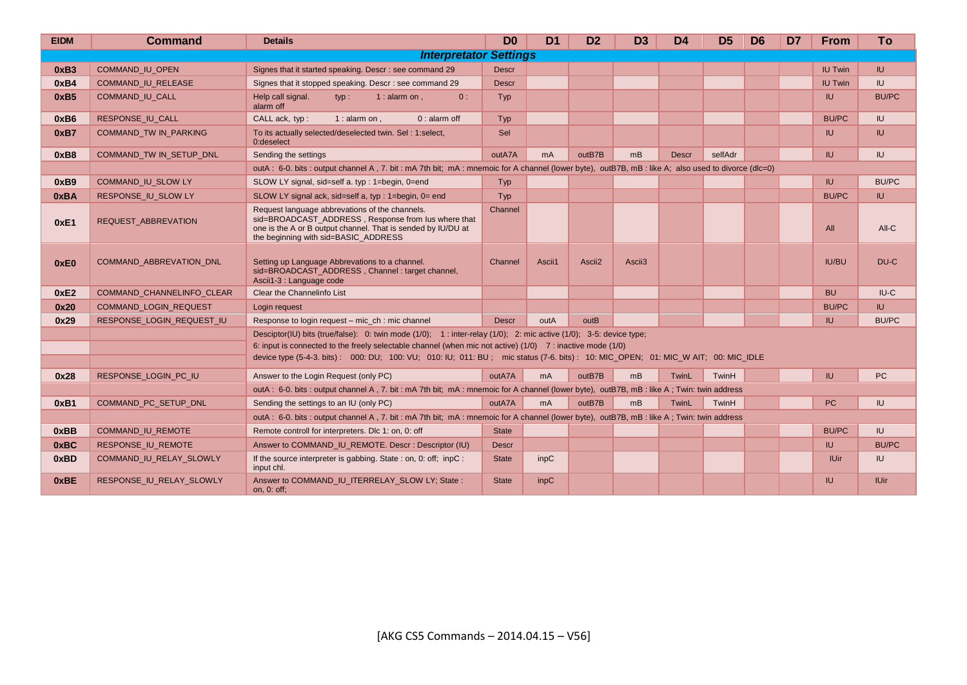| <b>EIDM</b> | <b>Command</b>                   | <b>Details</b>                                                                                                                                                                                                                                                                                                                                                         | D <sub>0</sub> | D <sub>1</sub> | D <sub>2</sub>     | D <sub>3</sub>     | D <sub>4</sub> | D <sub>5</sub> | D <sub>6</sub> | D <sub>7</sub> | <b>From</b>    | To           |
|-------------|----------------------------------|------------------------------------------------------------------------------------------------------------------------------------------------------------------------------------------------------------------------------------------------------------------------------------------------------------------------------------------------------------------------|----------------|----------------|--------------------|--------------------|----------------|----------------|----------------|----------------|----------------|--------------|
|             |                                  | <b>Interpretator Settings</b>                                                                                                                                                                                                                                                                                                                                          |                |                |                    |                    |                |                |                |                |                |              |
| 0xB3        | COMMAND_IU_OPEN                  | Signes that it started speaking. Descr : see command 29                                                                                                                                                                                                                                                                                                                | <b>Descr</b>   |                |                    |                    |                |                |                |                | <b>IU Twin</b> | IU.          |
| 0xB4        | <b>COMMAND IU RELEASE</b>        | Signes that it stopped speaking. Descr : see command 29                                                                                                                                                                                                                                                                                                                | <b>Descr</b>   |                |                    |                    |                |                |                |                | <b>IU Twin</b> | IU           |
| 0xB5        | <b>COMMAND IU CALL</b>           | Help call signal.<br>$1:$ alarm on ,<br>0:<br>$tvp$ :<br>alarm off                                                                                                                                                                                                                                                                                                     | Typ            |                |                    |                    |                |                |                |                | IU.            | <b>BU/PC</b> |
| 0xB6        | RESPONSE IU CALL                 | CALL ack, typ:<br>1 : alarm on ,<br>$0:$ alarm off                                                                                                                                                                                                                                                                                                                     | Typ            |                |                    |                    |                |                |                |                | <b>BU/PC</b>   | IU.          |
| 0xB7        | COMMAND_TW IN_PARKING            | To its actually selected/deselected twin. Sel: 1:select,<br>0:deselect                                                                                                                                                                                                                                                                                                 | Sel            |                |                    |                    |                |                |                |                | IU.            | <b>IU</b>    |
| 0xB8        | <b>COMMAND TW IN SETUP DNL</b>   | Sending the settings                                                                                                                                                                                                                                                                                                                                                   | outA7A         | m <sub>A</sub> | outB7B             | mB                 | <b>Descr</b>   | selfAdr        |                |                | $I\cup$        | IU           |
|             |                                  | outA : 6-0. bits : output channel A, 7. bit : mA 7th bit; mA : mnemoic for A channel (lower byte), outB7B, mB : like A; also used to divorce (dlc=0)                                                                                                                                                                                                                   |                |                |                    |                    |                |                |                |                |                |              |
| 0xB9        | COMMAND_IU_SLOW LY               | SLOW LY signal, sid=self a. typ: 1=begin, 0=end                                                                                                                                                                                                                                                                                                                        | Typ            |                |                    |                    |                |                |                |                | <b>IU</b>      | <b>BU/PC</b> |
| 0xBA        | RESPONSE IU SLOW LY              | SLOW LY signal ack, sid=self a, typ : 1=begin, 0= end                                                                                                                                                                                                                                                                                                                  | Typ            |                |                    |                    |                |                |                |                | <b>BU/PC</b>   | IU.          |
| 0xE1        | REQUEST ABBREVATION              | Request language abbrevations of the channels.<br>sid=BROADCAST ADDRESS, Response from lus where that<br>one is the A or B output channel. That is sended by IU/DU at<br>the beginning with sid=BASIC_ADDRESS                                                                                                                                                          | Channel        |                |                    |                    |                |                |                |                | All            | All-C        |
| 0xE0        | COMMAND_ABBREVATION_DNL          | Setting up Language Abbrevations to a channel.<br>sid=BROADCAST ADDRESS, Channel: target channel,<br>Ascii1-3 : Language code                                                                                                                                                                                                                                          | Channel        | Ascii1         | Ascii <sub>2</sub> | Ascii <sub>3</sub> |                |                |                |                | <b>IU/BU</b>   | DU-C         |
| 0xE2        | <b>COMMAND CHANNELINFO CLEAR</b> | Clear the Channelinfo List                                                                                                                                                                                                                                                                                                                                             |                |                |                    |                    |                |                |                |                | <b>BU</b>      | $I U - C$    |
| 0x20        | COMMAND_LOGIN_REQUEST            | Login request                                                                                                                                                                                                                                                                                                                                                          |                |                |                    |                    |                |                |                |                | <b>BU/PC</b>   | IU.          |
| 0x29        | RESPONSE_LOGIN_REQUEST_IU        | Response to login request – mic ch : mic channel                                                                                                                                                                                                                                                                                                                       | <b>Descr</b>   | outA           | outB               |                    |                |                |                |                | IU.            | <b>BU/PC</b> |
|             |                                  | Desciptor(IU) bits (true/false): 0: twin mode (1/0); 1: inter-relay (1/0); 2: mic active (1/0); 3-5: device type;<br>6: input is connected to the freely selectable channel (when mic not active) $(1/0)$ 7: inactive mode $(1/0)$<br>device type (5-4-3, bits): 000: DU; 100: VU; 010: IU; 011: BU; mic status (7-6, bits): 10: MIC OPEN; 01: MIC W AIT; 00: MIC IDLE |                |                |                    |                    |                |                |                |                |                |              |
| 0x28        | RESPONSE LOGIN PC IU             | Answer to the Login Request (only PC)                                                                                                                                                                                                                                                                                                                                  | outA7A         | m <sub>A</sub> | outB7B             | mB                 | TwinL          | TwinH          |                |                | IU.            | PC           |
|             |                                  | outA: 6-0. bits: output channel A, 7. bit: mA 7th bit; mA: mnemoic for A channel (lower byte), outB7B, mB: like A; Twin: twin address                                                                                                                                                                                                                                  |                |                |                    |                    |                |                |                |                |                |              |
| 0xB1        | COMMAND PC SETUP DNL             | Sending the settings to an IU (only PC)                                                                                                                                                                                                                                                                                                                                | outA7A         | m <sub>A</sub> | outB7B             | m <sub>B</sub>     | TwinL          | TwinH          |                |                | <b>PC</b>      | IU.          |
|             |                                  | outA: 6-0. bits: output channel A, 7. bit: mA 7th bit; mA: mnemoic for A channel (lower byte), outB7B, mB: like A; Twin: twin address                                                                                                                                                                                                                                  |                |                |                    |                    |                |                |                |                |                |              |
| 0xBB        | COMMAND_IU_REMOTE                | Remote controll for interpreters. Dlc 1: on, 0: off                                                                                                                                                                                                                                                                                                                    | <b>State</b>   |                |                    |                    |                |                |                |                | <b>BU/PC</b>   | IU.          |
| 0xBC        | RESPONSE_IU_REMOTE               | Answer to COMMAND IU REMOTE. Descr: Descriptor (IU)                                                                                                                                                                                                                                                                                                                    | <b>Descr</b>   |                |                    |                    |                |                |                |                | IU.            | <b>BU/PC</b> |
| 0xBD        | COMMAND IU RELAY SLOWLY          | If the source interpreter is gabbing. State: on, 0: off; inpC:<br>input chl.                                                                                                                                                                                                                                                                                           | <b>State</b>   | inpC           |                    |                    |                |                |                |                | <b>IUir</b>    | IU           |
| 0xBE        | RESPONSE_IU_RELAY_SLOWLY         | Answer to COMMAND_IU_ITERRELAY_SLOW LY; State:<br>on, 0: off;                                                                                                                                                                                                                                                                                                          | <b>State</b>   | inpC           |                    |                    |                |                |                |                | IU.            | <b>IUir</b>  |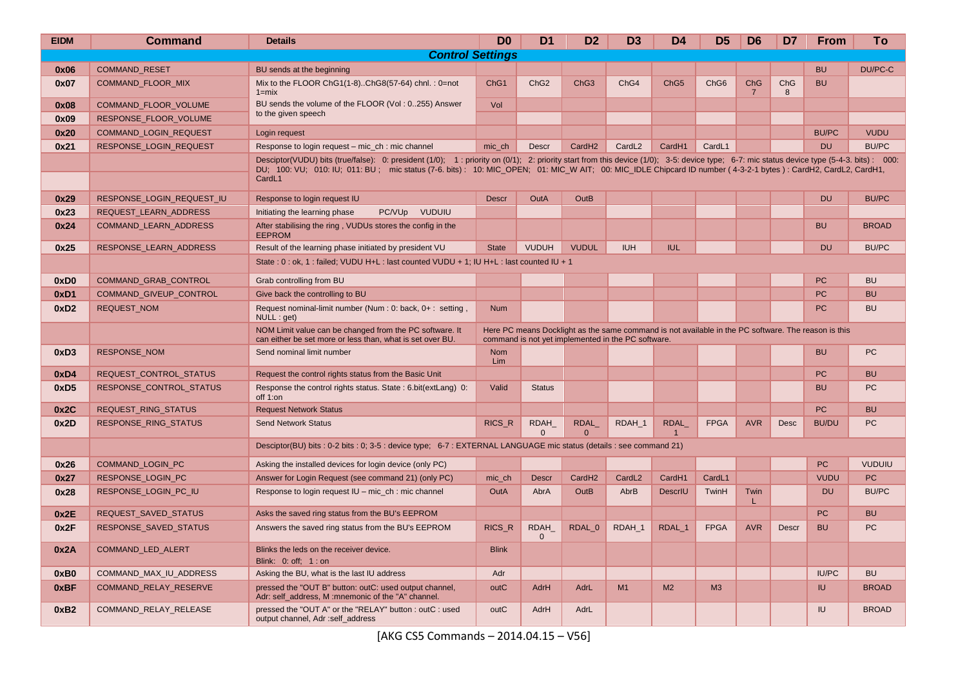| <b>EIDM</b> | <b>Command</b>                | <b>Details</b>                                                                                                                                                                                                                                                                                                                                                     | D <sub>0</sub>    | D <sub>1</sub>              | D <sub>2</sub>       | D <sub>3</sub>                                                                                                                                            | D4                 | D <sub>5</sub>   | D <sub>6</sub>        | D7           | <b>From</b>  | To            |
|-------------|-------------------------------|--------------------------------------------------------------------------------------------------------------------------------------------------------------------------------------------------------------------------------------------------------------------------------------------------------------------------------------------------------------------|-------------------|-----------------------------|----------------------|-----------------------------------------------------------------------------------------------------------------------------------------------------------|--------------------|------------------|-----------------------|--------------|--------------|---------------|
|             |                               | <b>Control Settings</b>                                                                                                                                                                                                                                                                                                                                            |                   |                             |                      |                                                                                                                                                           |                    |                  |                       |              |              |               |
| 0x06        | <b>COMMAND RESET</b>          | BU sends at the beginning                                                                                                                                                                                                                                                                                                                                          |                   |                             |                      |                                                                                                                                                           |                    |                  |                       |              | <b>BU</b>    | DU/PC-C       |
| 0x07        | <b>COMMAND FLOOR MIX</b>      | Mix to the FLOOR ChG1(1-8)ChG8(57-64) chnl.: 0=not<br>$1 = mix$                                                                                                                                                                                                                                                                                                    | ChG <sub>1</sub>  | ChG <sub>2</sub>            | ChG <sub>3</sub>     | ChG <sub>4</sub>                                                                                                                                          | ChG <sub>5</sub>   | ChG <sub>6</sub> | ChG<br>$\overline{7}$ | ChG<br>8     | <b>BU</b>    |               |
| 0x08        | COMMAND_FLOOR_VOLUME          | BU sends the volume of the FLOOR (Vol : 0255) Answer                                                                                                                                                                                                                                                                                                               | Vol               |                             |                      |                                                                                                                                                           |                    |                  |                       |              |              |               |
| 0x09        | RESPONSE FLOOR VOLUME         | to the given speech                                                                                                                                                                                                                                                                                                                                                |                   |                             |                      |                                                                                                                                                           |                    |                  |                       |              |              |               |
| 0x20        | <b>COMMAND LOGIN REQUEST</b>  | Login request                                                                                                                                                                                                                                                                                                                                                      |                   |                             |                      |                                                                                                                                                           |                    |                  |                       |              | <b>BU/PC</b> | <b>VUDU</b>   |
| 0x21        | RESPONSE_LOGIN_REQUEST        | Response to login request - mic_ch : mic channel                                                                                                                                                                                                                                                                                                                   | mic ch            | <b>Descr</b>                | CardH <sub>2</sub>   | CardL <sub>2</sub>                                                                                                                                        | CardH1             | CardL1           |                       |              | <b>DU</b>    | <b>BU/PC</b>  |
|             |                               | Desciptor(VUDU) bits (true/false): 0: president (1/0); 1: priority on (0/1); 2: priority start from this device (1/0); 3-5: device type; 6-7: mic status device type (5-4-3. bits): 000:<br>DU; 100: VU; 010: IU; 011: BU; mic status (7-6. bits): 10: MIC_OPEN; 01: MIC_W AIT; 00: MIC_IDLE Chipcard ID number (4-3-2-1 bytes): CardH2, CardL2, CardH1,<br>CardL1 |                   |                             |                      |                                                                                                                                                           |                    |                  |                       |              |              |               |
| 0x29        | RESPONSE LOGIN REQUEST IU     | Response to login request IU                                                                                                                                                                                                                                                                                                                                       | <b>Descr</b>      | OutA                        | OutB                 |                                                                                                                                                           |                    |                  |                       |              | <b>DU</b>    | <b>BU/PC</b>  |
| 0x23        | REQUEST_LEARN_ADDRESS         | <b>VUDUIU</b><br>Initiating the learning phase<br>PC/VU <sub>p</sub>                                                                                                                                                                                                                                                                                               |                   |                             |                      |                                                                                                                                                           |                    |                  |                       |              |              |               |
| 0x24        | COMMAND_LEARN_ADDRESS         | After stabilising the ring, VUDUs stores the config in the<br><b>EEPROM</b>                                                                                                                                                                                                                                                                                        |                   |                             |                      |                                                                                                                                                           |                    |                  |                       |              | <b>BU</b>    | <b>BROAD</b>  |
| 0x25        | RESPONSE LEARN ADDRESS        | Result of the learning phase initiated by president VU                                                                                                                                                                                                                                                                                                             | <b>State</b>      | <b>VUDUH</b>                | <b>VUDUL</b>         | <b>IUH</b>                                                                                                                                                | <b>IUL</b>         |                  |                       |              | <b>DU</b>    | <b>BU/PC</b>  |
|             |                               | State: 0: ok, 1: failed; VUDU H+L: last counted VUDU + 1; IU H+L: last counted IU + 1                                                                                                                                                                                                                                                                              |                   |                             |                      |                                                                                                                                                           |                    |                  |                       |              |              |               |
| 0xD0        | <b>COMMAND GRAB CONTROL</b>   | Grab controlling from BU                                                                                                                                                                                                                                                                                                                                           |                   |                             |                      |                                                                                                                                                           |                    |                  |                       |              | <b>PC</b>    | <b>BU</b>     |
| 0xD1        | <b>COMMAND GIVEUP CONTROL</b> | Give back the controlling to BU                                                                                                                                                                                                                                                                                                                                    |                   |                             |                      |                                                                                                                                                           |                    |                  |                       |              | PC           | <b>BU</b>     |
| 0xD2        | REQUEST_NOM                   | Request nominal-limit number (Num : 0: back, 0+ : setting,<br>NULL : get)                                                                                                                                                                                                                                                                                          | <b>Num</b>        |                             |                      |                                                                                                                                                           |                    |                  |                       |              | <b>PC</b>    | <b>BU</b>     |
|             |                               | NOM Limit value can be changed from the PC software. It<br>can either be set more or less than, what is set over BU.                                                                                                                                                                                                                                               |                   |                             |                      | Here PC means Docklight as the same command is not available in the PC software. The reason is this<br>command is not yet implemented in the PC software. |                    |                  |                       |              |              |               |
| 0xD3        | <b>RESPONSE NOM</b>           | Send nominal limit number                                                                                                                                                                                                                                                                                                                                          | <b>Nom</b><br>Lim |                             |                      |                                                                                                                                                           |                    |                  |                       |              | <b>BU</b>    | PC            |
| 0xD4        | REQUEST_CONTROL_STATUS        | Request the control rights status from the Basic Unit                                                                                                                                                                                                                                                                                                              |                   |                             |                      |                                                                                                                                                           |                    |                  |                       |              | <b>PC</b>    | <b>BU</b>     |
| 0xD5        | RESPONSE_CONTROL_STATUS       | Response the control rights status. State: 6.bit(extLang) 0:<br>off 1:on                                                                                                                                                                                                                                                                                           | Valid             | <b>Status</b>               |                      |                                                                                                                                                           |                    |                  |                       |              | <b>BU</b>    | PC            |
| 0x2C        | REQUEST_RING_STATUS           | <b>Request Network Status</b>                                                                                                                                                                                                                                                                                                                                      |                   |                             |                      |                                                                                                                                                           |                    |                  |                       |              | <b>PC</b>    | <b>BU</b>     |
| 0x2D        | RESPONSE_RING_STATUS          | <b>Send Network Status</b>                                                                                                                                                                                                                                                                                                                                         | <b>RICS R</b>     | RDAH<br>$\Omega$            | RDAL<br>$\mathbf{0}$ | RDAH 1                                                                                                                                                    | <b>RDAL</b>        | <b>FPGA</b>      | <b>AVR</b>            | <b>Desc</b>  | <b>BU/DU</b> | PC            |
|             |                               | Desciptor(BU) bits : 0-2 bits : 0; 3-5 : device type; 6-7 : EXTERNAL LANGUAGE mic status (details : see command 21)                                                                                                                                                                                                                                                |                   |                             |                      |                                                                                                                                                           |                    |                  |                       |              |              |               |
| 0x26        | <b>COMMAND LOGIN PC</b>       | Asking the installed devices for login device (only PC)                                                                                                                                                                                                                                                                                                            |                   |                             |                      |                                                                                                                                                           |                    |                  |                       |              | <b>PC</b>    | <b>VUDUIU</b> |
| 0x27        | RESPONSE LOGIN PC             | Answer for Login Request (see command 21) (only PC)                                                                                                                                                                                                                                                                                                                | mic ch            | <b>Descr</b>                | CardH <sub>2</sub>   | CardL <sub>2</sub>                                                                                                                                        | Card <sub>H1</sub> | CardL1           |                       |              | <b>VUDU</b>  | PC            |
| 0x28        | RESPONSE_LOGIN_PC_IU          | Response to login request IU - mic_ch : mic channel                                                                                                                                                                                                                                                                                                                | OutA              | AbrA                        | <b>OutB</b>          | AbrB                                                                                                                                                      | <b>DescrIU</b>     | TwinH            | Twin<br>т.            |              | <b>DU</b>    | <b>BU/PC</b>  |
| 0x2E        | <b>REQUEST SAVED STATUS</b>   | Asks the saved ring status from the BU's EEPROM                                                                                                                                                                                                                                                                                                                    |                   |                             |                      |                                                                                                                                                           |                    |                  |                       |              | <b>PC</b>    | <b>BU</b>     |
| 0x2F        | <b>RESPONSE SAVED STATUS</b>  | Answers the saved ring status from the BU's EEPROM                                                                                                                                                                                                                                                                                                                 | <b>RICS R</b>     | <b>RDAH</b><br>$\mathbf{0}$ | RDAL 0               | RDAH 1                                                                                                                                                    | RDAL 1             | <b>FPGA</b>      | <b>AVR</b>            | <b>Descr</b> | <b>BU</b>    | PC            |
| 0x2A        | <b>COMMAND LED ALERT</b>      | Blinks the leds on the receiver device.<br>Blink: 0: off: 1: on                                                                                                                                                                                                                                                                                                    | <b>Blink</b>      |                             |                      |                                                                                                                                                           |                    |                  |                       |              |              |               |
| 0xB0        | COMMAND_MAX_IU_ADDRESS        | Asking the BU, what is the last IU address                                                                                                                                                                                                                                                                                                                         | Adr               |                             |                      |                                                                                                                                                           |                    |                  |                       |              | <b>IU/PC</b> | <b>BU</b>     |
| 0xBF        | COMMAND_RELAY_RESERVE         | pressed the "OUT B" button: outC: used output channel,<br>Adr: self address. M: mnemonic of the "A" channel.                                                                                                                                                                                                                                                       | outC              | AdrH                        | AdrL                 | M1                                                                                                                                                        | M <sub>2</sub>     | M <sub>3</sub>   |                       |              | <b>IU</b>    | <b>BROAD</b>  |
| 0xB2        | COMMAND RELAY RELEASE         | pressed the "OUT A" or the "RELAY" button: outC: used<br>output channel, Adr:self address                                                                                                                                                                                                                                                                          | outC              | AdrH                        | AdrL                 |                                                                                                                                                           |                    |                  |                       |              | <b>IU</b>    | <b>BROAD</b>  |

[AKG CS5 Commands – 2014.04.15 – V56]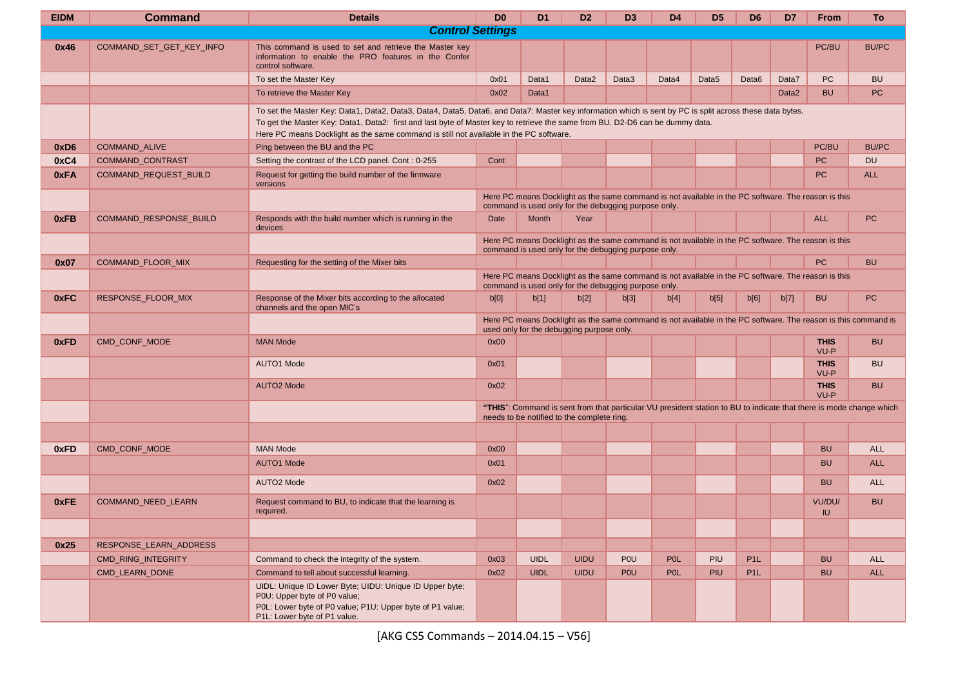| <b>EIDM</b>      | <b>Command</b>           | <b>Details</b>                                                                                                                                                                                                                                                                                                                                                                      | D <sub>0</sub> | D <sub>1</sub> | D <sub>2</sub>                                       | D3         | D <sub>4</sub>                                                                                      | D <sub>5</sub>    | D <sub>6</sub>    | D7                | <b>From</b>         | <b>To</b>                                                                                                           |
|------------------|--------------------------|-------------------------------------------------------------------------------------------------------------------------------------------------------------------------------------------------------------------------------------------------------------------------------------------------------------------------------------------------------------------------------------|----------------|----------------|------------------------------------------------------|------------|-----------------------------------------------------------------------------------------------------|-------------------|-------------------|-------------------|---------------------|---------------------------------------------------------------------------------------------------------------------|
|                  |                          | <b>Control Settings</b>                                                                                                                                                                                                                                                                                                                                                             |                |                |                                                      |            |                                                                                                     |                   |                   |                   |                     |                                                                                                                     |
| 0x46             | COMMAND_SET_GET_KEY_INFO | This command is used to set and retrieve the Master key<br>information to enable the PRO features in the Confer<br>control software.                                                                                                                                                                                                                                                |                |                |                                                      |            |                                                                                                     |                   |                   |                   | PC/BU               | <b>BU/PC</b>                                                                                                        |
|                  |                          | To set the Master Key                                                                                                                                                                                                                                                                                                                                                               | 0x01           | Data1          | Data2                                                | Data3      | Data4                                                                                               | Data <sub>5</sub> | Data <sub>6</sub> | Data7             | PC                  | <b>BU</b>                                                                                                           |
|                  |                          | To retrieve the Master Key                                                                                                                                                                                                                                                                                                                                                          | 0x02           | Data1          |                                                      |            |                                                                                                     |                   |                   | Data <sub>2</sub> | <b>BU</b>           | <b>PC</b>                                                                                                           |
|                  |                          | To set the Master Key: Data1, Data2, Data3, Data4, Data5, Data6, and Data7: Master key information which is sent by PC is split across these data bytes.<br>To get the Master Key: Data1, Data2: first and last byte of Master key to retrieve the same from BU. D2-D6 can be dummy data.<br>Here PC means Docklight as the same command is still not available in the PC software. |                |                |                                                      |            |                                                                                                     |                   |                   |                   |                     |                                                                                                                     |
| 0xD <sub>6</sub> | <b>COMMAND ALIVE</b>     | Ping between the BU and the PC                                                                                                                                                                                                                                                                                                                                                      |                |                |                                                      |            |                                                                                                     |                   |                   |                   | PC/BU               | <b>BU/PC</b>                                                                                                        |
| 0xC4             | COMMAND_CONTRAST         | Setting the contrast of the LCD panel. Cont: 0-255                                                                                                                                                                                                                                                                                                                                  | Cont           |                |                                                      |            |                                                                                                     |                   |                   |                   | PC                  | <b>DU</b>                                                                                                           |
| 0xFA             | COMMAND_REQUEST_BUILD    | Request for getting the build number of the firmware<br>versions                                                                                                                                                                                                                                                                                                                    |                |                |                                                      |            |                                                                                                     |                   |                   |                   | <b>PC</b>           | <b>ALL</b>                                                                                                          |
|                  |                          |                                                                                                                                                                                                                                                                                                                                                                                     |                |                | command is used only for the debugging purpose only. |            | Here PC means Docklight as the same command is not available in the PC software. The reason is this |                   |                   |                   |                     |                                                                                                                     |
| 0xFB             | COMMAND_RESPONSE_BUILD   | Responds with the build number which is running in the<br>devices                                                                                                                                                                                                                                                                                                                   | Date           | Month          | Year                                                 |            |                                                                                                     |                   |                   |                   | <b>ALL</b>          | PC                                                                                                                  |
|                  |                          |                                                                                                                                                                                                                                                                                                                                                                                     |                |                | command is used only for the debugging purpose only. |            | Here PC means Docklight as the same command is not available in the PC software. The reason is this |                   |                   |                   |                     |                                                                                                                     |
| 0x07             | COMMAND_FLOOR_MIX        | Requesting for the setting of the Mixer bits                                                                                                                                                                                                                                                                                                                                        |                |                |                                                      |            |                                                                                                     |                   |                   |                   | <b>PC</b>           | <b>BU</b>                                                                                                           |
|                  |                          |                                                                                                                                                                                                                                                                                                                                                                                     |                |                | command is used only for the debugging purpose only. |            | Here PC means Docklight as the same command is not available in the PC software. The reason is this |                   |                   |                   |                     |                                                                                                                     |
| 0xFC             | RESPONSE_FLOOR_MIX       | Response of the Mixer bits according to the allocated<br>channels and the open MIC's                                                                                                                                                                                                                                                                                                | b[0]           | b[1]           | b[2]                                                 | b[3]       | b[4]                                                                                                | b[5]              | b[6]              | b[7]              | <b>BU</b>           | PC                                                                                                                  |
|                  |                          |                                                                                                                                                                                                                                                                                                                                                                                     |                |                | used only for the debugging purpose only.            |            |                                                                                                     |                   |                   |                   |                     | Here PC means Docklight as the same command is not available in the PC software. The reason is this command is      |
| 0xFD             | CMD_CONF_MODE            | <b>MAN Mode</b>                                                                                                                                                                                                                                                                                                                                                                     | 0x00           |                |                                                      |            |                                                                                                     |                   |                   |                   | <b>THIS</b><br>VU-P | <b>BU</b>                                                                                                           |
|                  |                          | <b>AUTO1 Mode</b>                                                                                                                                                                                                                                                                                                                                                                   | 0x01           |                |                                                      |            |                                                                                                     |                   |                   |                   | <b>THIS</b><br>VU-P | <b>BU</b>                                                                                                           |
|                  |                          | <b>AUTO2 Mode</b>                                                                                                                                                                                                                                                                                                                                                                   | 0x02           |                |                                                      |            |                                                                                                     |                   |                   |                   | <b>THIS</b><br>VU-P | <b>BU</b>                                                                                                           |
|                  |                          |                                                                                                                                                                                                                                                                                                                                                                                     |                |                | needs to be notified to the complete ring.           |            |                                                                                                     |                   |                   |                   |                     | "THIS": Command is sent from that particular VU president station to BU to indicate that there is mode change which |
|                  |                          |                                                                                                                                                                                                                                                                                                                                                                                     |                |                |                                                      |            |                                                                                                     |                   |                   |                   |                     |                                                                                                                     |
| 0xFD             | CMD_CONF_MODE            | <b>MAN Mode</b>                                                                                                                                                                                                                                                                                                                                                                     | 0x00           |                |                                                      |            |                                                                                                     |                   |                   |                   | <b>BU</b>           | <b>ALL</b>                                                                                                          |
|                  |                          | <b>AUTO1 Mode</b>                                                                                                                                                                                                                                                                                                                                                                   | 0x01           |                |                                                      |            |                                                                                                     |                   |                   |                   | <b>BU</b>           | <b>ALL</b>                                                                                                          |
|                  |                          | <b>AUTO2 Mode</b>                                                                                                                                                                                                                                                                                                                                                                   | 0x02           |                |                                                      |            |                                                                                                     |                   |                   |                   | <b>BU</b>           | <b>ALL</b>                                                                                                          |
| 0xFE             | COMMAND_NEED_LEARN       | Request command to BU, to indicate that the learning is<br>required.                                                                                                                                                                                                                                                                                                                |                |                |                                                      |            |                                                                                                     |                   |                   |                   | VU/DU/              | <b>BU</b>                                                                                                           |
|                  |                          |                                                                                                                                                                                                                                                                                                                                                                                     |                |                |                                                      |            |                                                                                                     |                   |                   |                   | <b>IU</b>           |                                                                                                                     |
| 0x25             | RESPONSE_LEARN_ADDRESS   |                                                                                                                                                                                                                                                                                                                                                                                     |                |                |                                                      |            |                                                                                                     |                   |                   |                   |                     |                                                                                                                     |
|                  | CMD_RING_INTEGRITY       | Command to check the integrity of the system.                                                                                                                                                                                                                                                                                                                                       | 0x03           | <b>UIDL</b>    | <b>UIDU</b>                                          | <b>POU</b> | <b>POL</b>                                                                                          | PIU               | P <sub>1</sub> L  |                   | <b>BU</b>           | <b>ALL</b>                                                                                                          |
|                  | CMD_LEARN_DONE           | Command to tell about successful learning.                                                                                                                                                                                                                                                                                                                                          | 0x02           | <b>UIDL</b>    | <b>UIDU</b>                                          | <b>POU</b> | <b>POL</b>                                                                                          | PIU               | P <sub>1</sub> L  |                   | <b>BU</b>           | <b>ALL</b>                                                                                                          |
|                  |                          | UIDL: Unique ID Lower Byte; UIDU: Unique ID Upper byte;<br>P0U: Upper byte of P0 value;<br>P0L: Lower byte of P0 value; P1U: Upper byte of P1 value;<br>P1L: Lower byte of P1 value.                                                                                                                                                                                                |                |                |                                                      |            |                                                                                                     |                   |                   |                   |                     |                                                                                                                     |